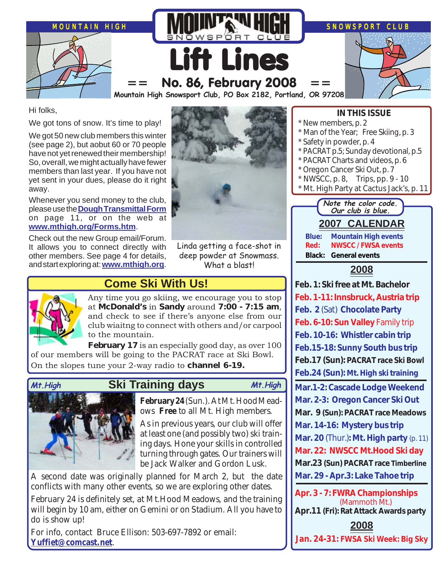

Hi folks,

We got tons of snow. It's time to play!

We got 50 new club members this winter (see page 2), but aobut 60 or 70 people have not yet renewed their membership! So, overall, we might actually have fewer members than last year. If you have not yet sent in your dues, please do it right away.

Whenever you send money to the club, please use the **[Dough Transmittal Form](http://www.mthigh.org/Documents/MembershipSignupForm.pdf)** on page 11, or on the web at **[www.mthigh.org/Forms.htm](http://www.mthigh.org/Forms.htm)**.

Check out the new Group email/Forum. It allows you to connect directly with other members. See page 4 for details, and start exploring at: **[www.mthigh.org](http://www.mthigh.org/)**.



Linda getting a face-shot in deep powder at Snowmass. What a blast!

**Come Ski With Us!**

Any time you go skiing, we encourage you to stop at **McDonald's** in **Sandy** around **7:00 - 7:15 am**, and check to see if there's anyone else from our club wiaitng to connect with others and/or carpool to the mountain.

**February 17** is an especially good day, as over 100 of our members will be going to the PACRAT race at Ski Bowl. On the slopes tune your 2-way radio to **channel 6-19.**



## **Ski Training days Mt.High Mt.High**

**February 24** (Sun.). At Mt. Hood Meadows **Free** to all Mt. High members.

As in previous years, our club will offer at least one (and possibly two) ski training days. Hone your skills in controlled turning through gates. Our trainers will be Jack Walker and Gordon Lusk.

A second date was originally planned for March 2, but the date conflicts with many other events, so we are exploring other dates.

February 24 is definitely set, at Mt.Hood Meadows, and the training will begin by 10 am, either on Gemini or on Stadium. All you have to do is show up!

For info, contact Bruce Ellison: 503-697-7892 or email: **[Yuffiet@comcast.net](mailto:Yuffiet@comcast.net)**.

#### **IN THIS ISSUE**

**2007 CALENDAR Blue: Mountain High events Red: NWSCC / FWSA events Black: General events 2008 Feb. 1: Ski free at Mt. Bachelor Feb. 1-11: Innsbruck, Austria trip Feb. 2** (Sat) **Chocolate Party Feb. 6-10: Sun Valley** Family trip **Feb. 10-16: Whistler cabin trip Feb.15-18: Sunny South bus trip Feb.17 (Sun): PACRAT race Ski Bowl Feb.24 (Sun): Mt. High ski training Mar.1-2: Cascade Lodge Weekend Mar. 2-3: Oregon Cancer Ski Out Mar. 9 (Sun): PACRAT race Meadows Mar. 14-16: Mystery bus trip Mar. 20** (Thur.)**: Mt. High party** (p. 11) **Mar. 22: NWSCC Mt.Hood Ski day Mar.23 (Sun) PACRAT race Timberline Mar. 29 - Apr.3: Lake Tahoe trip Note the color code. Our club is blue.** New members, p. 2 Man of the Year; Free Skiing, p. 3 Safety in powder, p. 4 PACRAT p.5; Sunday devotional, p.5 \* PACRAT Charts and videos, p. 6 Oregon Cancer Ski Out, p. 7  $*$  NWSCC, p. 8, Trips, pp. 9 - 10 Mt. High Party at Cactus Jack's, p. 11

**Apr. 3 - 7: FWRA Championships** (Mammoth Mt.) **Apr.11 (Fri): Rat Attack Awards party**

**2008**

**Jan. 24-31: FWSA Ski Week: Big Sky**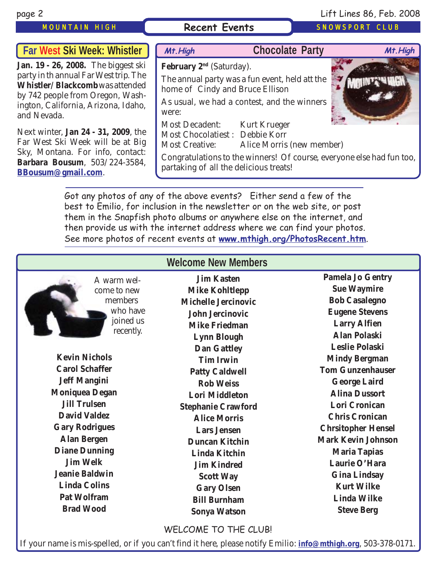### MOUNTAIN HIGH **Recent Events** SNOWSPORT CLUB

## page 2 Lift Lines 86, Feb. 2008

| Far West Ski Week: Whistler                                                                                                                                                                                                                                                                                                                                                                            | Mt. High                                                                                                                                                                                                    | <b>Chocolate Party</b>                                                                                                                                                                              | Mt. High |
|--------------------------------------------------------------------------------------------------------------------------------------------------------------------------------------------------------------------------------------------------------------------------------------------------------------------------------------------------------------------------------------------------------|-------------------------------------------------------------------------------------------------------------------------------------------------------------------------------------------------------------|-----------------------------------------------------------------------------------------------------------------------------------------------------------------------------------------------------|----------|
| Jan. 19 - 26, 2008. The biggest ski<br>party in th annual Far West trip. The<br>Whistler/Blackcomb was attended<br>by 742 people from Oregon, Wash-<br>ington, California, Arizona, Idaho,<br>and Nevada.<br>Next winter, <b>Jan 24 - 31, 2009</b> , the<br>Far West Ski Week will be at Big<br>Sky, Montana. For info, contact:<br><b>Barbara Bousum</b> , 503/224-3584,<br><b>BBousum@gmail.com.</b> | February $2nd$ (Saturday).<br>home of Cindy and Bruce Ellison<br>were:<br>Most Decadent: Kurt Krueger<br>Most Chocolatiest : Debbie Korr<br><b>Most Creative:</b><br>partaking of all the delicious treats! | The annual party was a fun event, held att the<br>As usual, we had a contest, and the winners<br>Alice Morris (new member)<br>Congratulations to the winners! Of course, everyone else had fun too, |          |

Got any photos of any of the above events? Either send a few of the best to Emilio, for inclusion in the newsletter or on the web site, or post them in the Snapfish photo albums or anywhere else on the internet, and then provide us with the internet address where we can find your photos. See more photos of recent events at **[www.mthigh.org/PhotosRecent.htm](http://www.mthigh.org/PhotosRecent.htm)**.

| <b>Welcome New Members</b> |                            |                           |  |  |
|----------------------------|----------------------------|---------------------------|--|--|
| A warm wel-                | <b>Jim Kasten</b>          | <b>Pamela Jo Gentry</b>   |  |  |
| come to new                | <b>Mike Kohltlepp</b>      | <b>Sue Waymire</b>        |  |  |
| members                    | <b>Michelle Jercinovic</b> | <b>Bob Casalegno</b>      |  |  |
| who have                   | <b>John Jercinovic</b>     | <b>Eugene Stevens</b>     |  |  |
| joined us                  | <b>Mike Friedman</b>       | <b>Larry Alfien</b>       |  |  |
| recently.                  | <b>Lynn Blough</b>         | <b>Alan Polaski</b>       |  |  |
|                            | <b>Dan Gattley</b>         | <b>Leslie Polaski</b>     |  |  |
| <b>Kevin Nichols</b>       | <b>Tim Irwin</b>           | <b>Mindy Bergman</b>      |  |  |
| <b>Carol Schaffer</b>      | <b>Patty Caldwell</b>      | <b>Tom Gunzenhauser</b>   |  |  |
| <b>Jeff Mangini</b>        | <b>Rob Weiss</b>           | <b>George Laird</b>       |  |  |
| <b>Moniquea Degan</b>      | <b>Lori Middleton</b>      | <b>Alina Dussort</b>      |  |  |
| <b>Jill Trulsen</b>        | <b>Stephanie Crawford</b>  | <b>Lori Cronican</b>      |  |  |
| <b>David Valdez</b>        | <b>Alice Morris</b>        | <b>Chris Cronican</b>     |  |  |
| <b>Gary Rodrigues</b>      | <b>Lars Jensen</b>         | <b>Chrsitopher Hensel</b> |  |  |
| <b>Alan Bergen</b>         | <b>Duncan Kitchin</b>      | <b>Mark Kevin Johnson</b> |  |  |
| <b>Diane Dunning</b>       | <b>Linda Kitchin</b>       | <b>Maria Tapias</b>       |  |  |
| <b>Jim Welk</b>            | <b>Jim Kindred</b>         | Laurie O'Hara             |  |  |
| <b>Jeanie Baldwin</b>      | <b>Scott Way</b>           | <b>Gina Lindsay</b>       |  |  |
| <b>Linda Colins</b>        | <b>Gary Olsen</b>          | <b>Kurt Wilke</b>         |  |  |
| <b>Pat Wolfram</b>         | <b>Bill Burnham</b>        | <b>Linda Wilke</b>        |  |  |
| <b>Brad Wood</b>           | <b>Sonya Watson</b>        | <b>Steve Berg</b>         |  |  |

WELCOME TO THE CLUB!

If your name is mis-spelled, or if you can't find it here, please notify Emilio: **[info@mthigh.org](mailto:info@mthigh.org)**, 503-378-0171.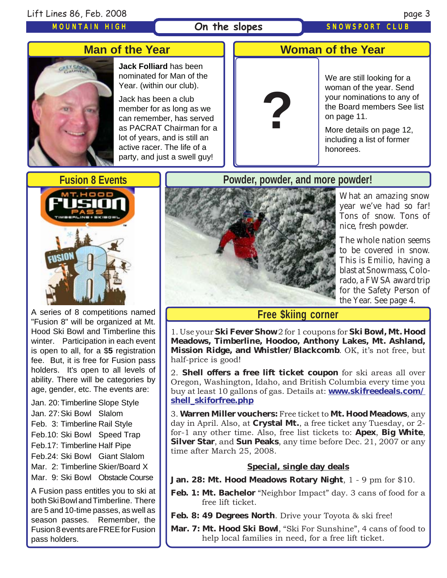#### On the slopes SNOWSPORT CLUB

## **Man of the Year**



**Jack Folliard** has been nominated for Man of the Year. (within our club).

Jack has been a club member for as long as we can remember, has served as PACRAT Chairman for a lot of years, and is still an active racer. The life of a party, and just a swell guy!



### **Woman of the Year**

We are still looking for a woman of the year. Send your nominations to any of the Board members See list on page 11.

More details on page 12, including a list of former honorees.

## **Fusion 8 Events**



A series of 8 competitions named "Fusion 8" will be organized at Mt. Hood Ski Bowl and Timberline this winter. Participation in each event is open to all, for a \$**5** registration fee. But, it is free for Fusion pass holders. It's open to all levels of ability. There will be categories by age, gender, etc. The events are:

Jan. 20:Timberline Slope Style

- Jan. 27:Ski Bowl Slalom
- Feb. 3: Timberline Rail Style
- Feb.10: Ski Bowl Speed Trap
- Feb.17: Timberline Half Pipe
- Feb.24: Ski Bowl Giant Slalom
- Mar. 2: Timberline Skier/Board X
- Mar. 9: Ski Bowl Obstacle Course

A Fusion pass entitles you to ski at both Ski Bowl and Timberline. There are 5 and 10-time passes, as well as season passes. Remember, the Fusion 8 events are FREE for Fusion pass holders.

## **Powder, powder, and more powder!**



What an amazing snow year we've had so far! Tons of snow. Tons of nice, fresh powder.

The whole nation seems to be covered in snow. This is Emilio, having a blast at Snowmass, Colorado, a FWSA award trip for the Safety Person of the Year. See page 4.

### **Free \$kiing corner**

1. Use your **Ski Fever Show** 2 for 1 coupons for **Ski Bowl, Mt. Hood Meadows, Timberline, Hoodoo, Anthony Lakes, Mt. Ashland, Mission Ridge, and Whistler/Blackcomb**. OK, it's not free, but half-price is good!

2. **Shell offers a free lift ticket coupon** for ski areas all over Oregon, Washington, Idaho, and British Columbia every time you buy at least 10 gallons of gas. Details at: **ww[w.skifreedeals.com/](http://www.skifreedeals.com/shell_skiforfree.php) [shell\\_skiforfree.php](http://www.skifreedeals.com/shell_skiforfree.php)**

3. **Warren Miller vouchers:** Free ticket to **Mt. Hood Meadows**, any day in April. Also, at **Crystal Mt.**, a free ticket any Tuesday, or 2 for-1 any other time. Also, free list tickets to: **Apex**, **Big White**, **Silver Star**, and **Sun Peaks**, any time before Dec. 21, 2007 or any time after March 25, 2008.

#### **Special, single day deals**

- **Jan. 28: Mt. Hood Meadows Rotary Night**, 1 9 pm for \$10.
- Feb. 1: Mt. Bachelor "Neighbor Impact" day. 3 cans of food for a free lift ticket.
- **Feb. 8: 49 Degrees North**. Drive your Toyota & ski free!
- **Mar. 7: Mt. Hood Ski Bowl**, "Ski For Sunshine", 4 cans of food to help local families in need, for a free lift ticket.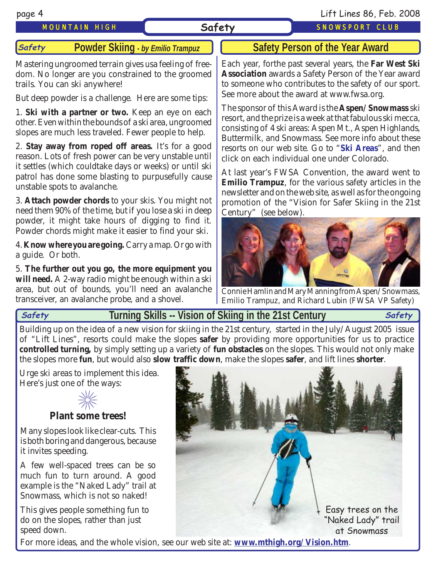page 4 Lift Lines 86, Feb. 2008

MOUNTAIN HIGH **Safety** SNOWSPORT CLUB

#### **Powder Skiing** *- by Emilio Trampuz* **Safety**

Mastering ungroomed terrain gives usa feeling of freedom. No longer are you constrained to the groomed trails. You can ski anywhere!

But deep powder is a challenge. Here are some tips:

1. **Ski with a partner or two.** Keep an eye on each other. Even within the bounds of a ski area, ungroomed slopes are much less traveled. Fewer people to help.

2. **Stay away from roped off areas.** It's for a good reason. Lots of fresh power can be very unstable until it settles (which couldtake days or weeks) or until ski patrol has done some blasting to purpusefully cause unstable spots to avalanche.

3. **Attach powder chords** to your skis. You might not need them 90% of the time, but if you lose a ski in deep powder, it might take hours of digging to find it. Powder chords might make it easier to find your ski.

4. **Know where you are going.** Carry a map. Or go with a guide. Or both.

5. **The further out you go, the more equipment you will need.** A 2-way radio might be enough within a ski area, but out of bounds, you'll need an avalanche transceiver, an avalanche probe, and a shovel.

## **Safety Person of the Year Award**

Each year, forthe past several years, the **Far West Ski Association** awards a Safety Person of the Year award to someone who contributes to the safety of our sport. See more about the award at www.fwsa.org.

The sponsor of this Award is the **Aspen/Snowmass** ski resort, and the prize is a week at that fabulous ski mecca, consisting of 4 ski areas: Aspen Mt., Aspen Highlands, Buttermilk, and Snowmass. See more info about these resorts on our web site. Go to "**[Ski Areas](http://www.mthigh.org/SkiAreas.htm)**", and then click on each individual one under Colorado.

At last year's FWSA Convention, the award went to **Emilio Trampuz**, for the various safety articles in the newsletter and on the web site, as well as for the ongoing promotion of the "Vision for Safer Skiing in the 21st Century" (see below).



Connie Hamlin and Mary Manning from Aspen/Snowmass, Emilio Trampuz, and Richard Lubin (FWSA VP Safety)

#### **Turning Skills -- Vision of Skiing in the 21st Century Safety Safety**

Building up on the idea of a new vision for skiing in the 21st century, started in the July/August 2005 issue of "Lift Lines", resorts could make the slopes **safer** by providing more opportunities for us to practice **controlled turning,** by simply setting up a variety of **fun obstacles** on the slopes. This would not only make the slopes more **fun**, but would also **slow traffic down**, make the slopes **safer**, and lift lines **shorter**.

Urge ski areas to implement this idea. Here's just one of the ways:



Many slopes look like clear-cuts. This is both boring and dangerous, because it invites speeding.

A few well-spaced trees can be so much fun to turn around. A good example is the "Naked Lady" trail at Snowmass, which is not so naked!

This gives people something fun to do on the slopes, rather than just speed down.



For more ideas, and the whole vision, see our web site at: **[www.mthigh.org/Vision.htm](http://www.mthigh.org/Vision.htm)**.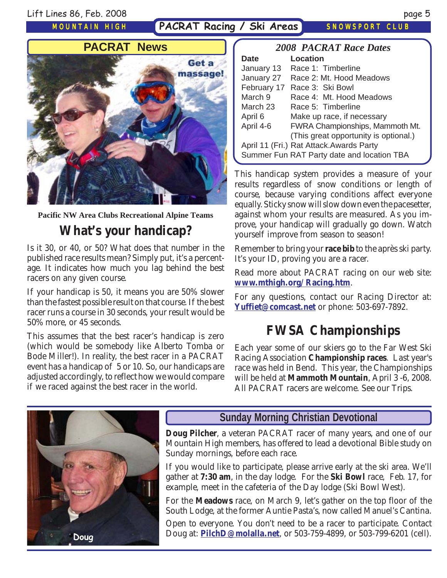PACRAT Racing / Ski Areas SNOWSPORT CLUB



**Pacific NW Area Clubs Recreational Alpine Teams**

# **What's your handicap?**

Is it 30, or 40, or 50? What does that number in the published race results mean? Simply put, it's a percentage. It indicates how much you lag behind the best racers on any given course.

If your handicap is 50, it means you are 50% slower than the fastest possible result on that course. If the best racer runs a course in 30 seconds, your result would be 50% more, or 45 seconds.

This assumes that the best racer's handicap is zero (which would be somebody like Alberto Tomba or Bode Miller!). In reality, the best racer in a PACRAT event has a handicap of 5 or 10. So, our handicaps are adjusted accordingly, to reflect how we would compare if we raced against the best racer in the world.

| <b>2008 PACRAT Race Dates</b> |                                            |  |  |  |
|-------------------------------|--------------------------------------------|--|--|--|
| <b>Date</b>                   | Location                                   |  |  |  |
| January 13                    | Race 1: Timberline                         |  |  |  |
| January 27                    | Race 2: Mt. Hood Meadows                   |  |  |  |
| February 17                   | Race 3: Ski Bowl                           |  |  |  |
| March 9                       | Race 4: Mt. Hood Meadows                   |  |  |  |
| March 23                      | Race 5: Timberline                         |  |  |  |
| April 6                       | Make up race, if necessary                 |  |  |  |
| April 4-6                     | <b>FWRA Championships, Mammoth Mt.</b>     |  |  |  |
|                               | (This great opportunity is optional.)      |  |  |  |
|                               | April 11 (Fri.) Rat Attack. Awards Party   |  |  |  |
|                               | Summer Fun RAT Party date and location TBA |  |  |  |

This handicap system provides a measure of your results regardless of snow conditions or length of course, because varying conditions affect everyone equally. Sticky snow will slow down even the pacesetter, against whom your results are measured. As you improve, your handicap will gradually go down. Watch yourself improve from season to season!

Remember to bring your **race bib** to the après ski party. It's your ID, proving you are a racer.

Read more about PACRAT racing on our web site: **[www.mthigh.org/Racing.htm](http://www.mthigh.org/Racing.htm)**.

For any questions, contact our Racing Director at: **[Yuffiet@comcast.net](mailto:Yuffiet@comcast.net)** or phone: 503-697-7892.

## **FWSA Championships**

Each year some of our skiers go to the Far West Ski Racing Association **Championship races**. Last year's race was held in Bend. This year, the Championships will be held at **Mammoth Mountain**, April 3 -6, 2008. All PACRAT racers are welcome. See our Trips.



### **Sunday Morning Christian Devotional**

**Doug Pilcher**, a veteran PACRAT racer of many years, and one of our Mountain High members, has offered to lead a devotional Bible study on Sunday mornings, before each race.

If you would like to participate, please arrive early at the ski area. We'll gather at **7:30 am**, in the day lodge. For the **Ski Bowl** race, Feb. 17, for example, meet in the cafeteria of the Day lodge (Ski Bowl West).

For the **Meadows** race, on March 9, let's gather on the top floor of the South Lodge, at the former Auntie Pasta's, now called Manuel's Cantina.

Open to everyone. You don't need to be a racer to participate. Contact Doug at: **[PilchD@molalla.net](mailto:PilchD@molalla.net)**, or 503-759-4899, or 503-799-6201 (cell). **Doug**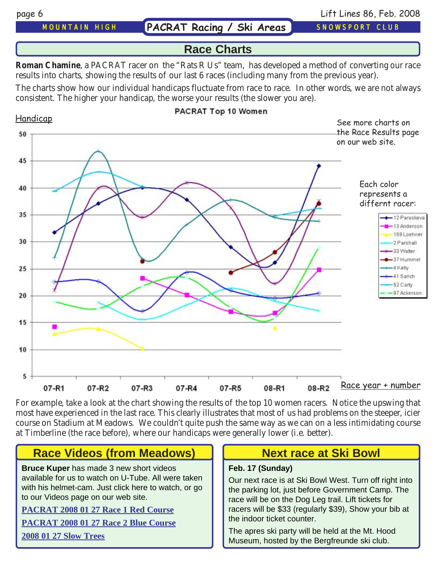MOUNTAIN HIGH **PACRAT Racing / Ski Areas** SNOWSPORT CLUB

page 6 Lift Lines 86, Feb. 2008

### **Race Charts**

**Roman Chamine**, a PACRAT racer on the "Rats R Us" team, has developed a method of converting our race results into charts, showing the results of our last 6 races (including many from the previous year).

The charts show how our individual handicaps fluctuate from race to race. In other words, we are not always consistent. The higher your handicap, the worse your results (the slower you are).



For example, take a look at the chart showing the results of the top 10 women racers. Notice the upswing that most have experienced in the last race. This clearly illustrates that most of us had problems on the steeper, icier course on Stadium at Meadows. We couldn't quite push the same way as we can on a less intimidating course at Timberline (the race before), where our handicaps were generally lower (i.e. better).

## **Race Videos (from Meadows)**

**Bruce Kuper** has made 3 new short videos available for us to watch on U-Tube. All were taken with his helmet-cam. Just click here to watch, or go to our Videos page on our web site.

#### **[PACRAT 2008 01 27 Race 1 Red Course](http://www.youtube.com/watch?v=3wPg2-jRJYo)**

**[PACRAT 2008 01 27 Race 2 Blue Course](http://www.youtube.com/watch?v=vzVVnhvqESU)**

**[2008 01 27 Slow Trees](http://www.youtube.com/watch?v=Rt6dRS6ELuM)**

## **Next race at Ski Bowl**

#### **Feb. 17 (Sunday)**

Our next race is at Ski Bowl West. Turn off right into the parking lot, just before Government Camp. The race will be on the Dog Leg trail. Lift tickets for racers will be \$33 (regularly \$39), Show your bib at the indoor ticket counter.

The apres ski party will be held at the Mt. Hood Museum, hosted by the Bergfreunde ski club.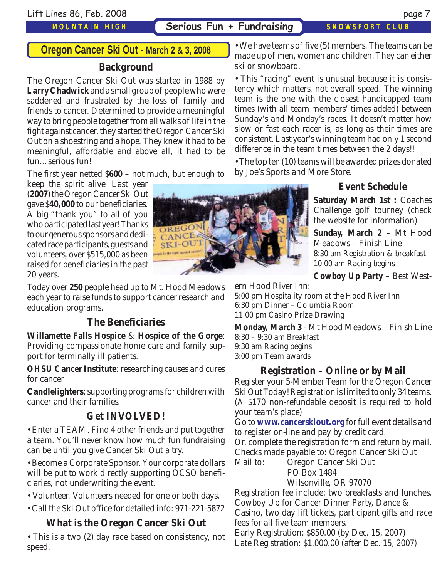**Serious Fun + Fundraising SNOWSPORT CLUB** 

ski or snowboard.

### **Oregon Cancer Ski Out - March 2 & 3, 2008**

#### **Background**

The Oregon Cancer Ski Out was started in 1988 by **Larry Chadwick** and a small group of people who were saddened and frustrated by the loss of family and friends to cancer. Determined to provide a meaningful way to bring people together from all walks of life in the fight against cancer, they started the Oregon Cancer Ski Out on a shoestring and a hope. They knew it had to be meaningful, affordable and above all, it had to be fun…serious fun!

The first year netted \$**600** – not much, but enough to

keep the spirit alive. Last year (**2007**) the Oregon Cancer Ski Out gave \$**40,000** to our beneficiaries. A big "thank you" to all of you who participated last year! Thanks to our generous sponsors and dedicated race participants, guests and volunteers, over \$515,000 as been raised for beneficiaries in the past 20 years.

Today over **250** people head up to Mt. Hood Meadows each year to raise funds to support cancer research and education programs.

### **The Beneficiaries**

**Willamette Falls Hospice** & **Hospice of the Gorge**: Providing compassionate home care and family support for terminally ill patients.

**OHSU Cancer Institute**: researching causes and cures for cancer

**Candlelighters**: supporting programs for children with cancer and their families.

### **Get INVOLVED!**

• Enter a TEAM. Find 4 other friends and put together a team. You'll never know how much fun fundraising can be until you give Cancer Ski Out a try.

• Become a Corporate Sponsor. Your corporate dollars will be put to work directly supporting OCSO beneficiaries, not underwriting the event.

• Volunteer. Volunteers needed for one or both days.

• Call the Ski Out office for detailed info: 971-221-5872

### **What is the Oregon Cancer Ski Out**

• This is a two (2) day race based on consistency, not speed.

• This "racing" event is unusual because it is consistency which matters, not overall speed. The winning team is the one with the closest handicapped team

• We have teams of five (5) members. The teams can be made up of men, women and children. They can either

times (with all team members' times added) between Sunday's and Monday's races. It doesn't matter how slow or fast each racer is, as long as their times are consistent. Last year's winning team had only 1 second difference in the team times between the 2 days!!

• The top ten (10) teams will be awarded prizes donated by Joe's Sports and More Store.

### **Event Schedule**

**Saturday March 1st :** Coaches Challenge golf tourney (check the website for information)

**Sunday, March 2** – Mt Hood Meadows – Finish Line 8:30 am Registration & breakfast 10:00 am Racing begins

**Cowboy Up Party** – Best West-

ern Hood River Inn:

5:00 pm Hospitality room at the Hood River Inn 6:30 pm Dinner – Columbia Room 11:00 pm Casino Prize Drawing

**Monday, March 3** - Mt Hood Meadows – Finish Line 8:30 – 9:30 am Breakfast 9:30 am Racing begins 3:00 pm Team awards

#### **Registration – Online or by Mail**

Register your 5-Member Team for the Oregon Cancer Ski Out Today! Registration is limited to only 34 teams. (A \$170 non-refundable deposit is required to hold your team's place)

Go to **[www.cancerskiout.org](http://www.cancerskiout.org/)** for full event details and to register on-line and pay by credit card.

Or, complete the registration form and return by mail. Checks made payable to: Oregon Cancer Ski Out

Mail to: Oregon Cancer Ski Out PO Box 1484

Wilsonville, OR 97070

Registration fee include: two breakfasts and lunches, Cowboy Up for Cancer Dinner Party, Dance & Casino, two day lift tickets, participant gifts and race fees for all five team members.

Early Registration: \$850.00 (by Dec. 15, 2007) Late Registration: \$1,000.00 (after Dec. 15, 2007)

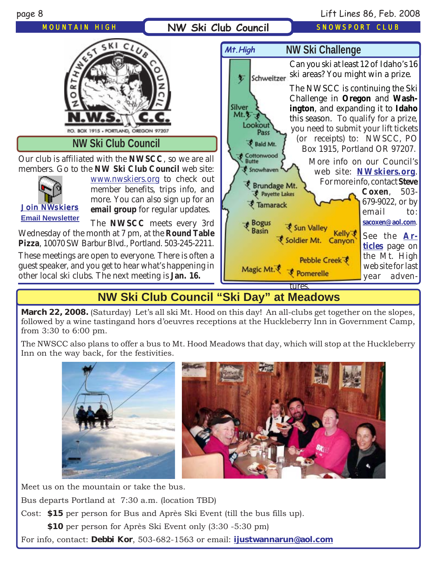

page 8 Lift Lines 86, Feb. 2008

## **NW Ski Club Council "Ski Day" at Meadows**

**March 22, 2008.** (Saturday) Let's all ski Mt. Hood on this day! An all-clubs get together on the slopes, followed by a wine tastingand hors d'oeuvres receptions at the Huckleberry Inn in Government Camp, from 3:30 to 6:00 pm.

The NWSCC also plans to offer a bus to Mt. Hood Meadows that day, which will stop at the Huckleberry Inn on the way back, for the festivities.



Meet us on the mountain or take the bus.

Bus departs Portland at 7:30 a.m. (location TBD)

Cost: **\$15** per person for Bus and Après Ski Event (till the bus fills up).

**\$10** per person for Après Ski Event only (3:30 -5:30 pm)

For info, contact: **Debbi Kor**, 503-682-1563 or email: **iju[stwannarun@aol.com](mailto:Ijustwannarun@aol.com)**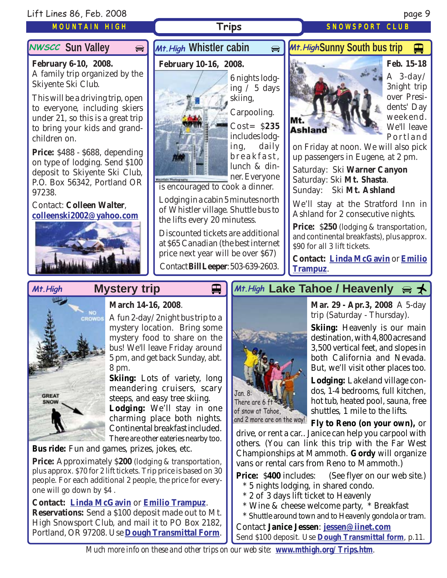#### Lift Lines 86, Feb. 2008 page 9

#### MOUNTAIN HIGH

#### **NWSCC Sun Valley**

**February 6-10, 2008.** A family trip organized by the Skiyente Ski Club.

This will be a driving trip, open to everyone, including skiers under 21, so this is a great trip to bring your kids and grandchildren on.

**Price:** \$488 - \$688, depending on type of lodging. Send \$100 deposit to Skiyente Ski Club, P.O. Box 56342, Portland OR 97238.

#### Contact: **Colleen Walter**, **[colleenski2002@yahoo.com](mailto:colleenski2002@yahoo.com)**



## **NWSCC** Sun Valley  $\bigoplus$  *Mt. High* Whistler cabin  $\bigoplus$

#### **February 10-16, 2008.**



6 nights lodging / 5 days skiing,

Carpooling. Cost= \$**235** includes lodging, daily breakfast, lunch & dinner. Everyone

is encouraged to cook a dinner.

Lodging in a cabin 5 minutes north of Whistler village. Shuttle bus to the lifts every 20 minutess.

Discounted tickets are additional at \$65 Canadian (the best internet price next year will be over \$67)

Contact **Bill Leeper**: 503-639-2603.

## *M+.HighSunny South bus trip*



Trips SNOWSPORT CLUB

**Feb. 15-18** A  $3$ -day/ 3night trip over Presidents' Day weekend. We'll leave Portland

on Friday at noon. We will also pick up passengers in Eugene, at 2 pm.

Saturday: Ski **Warner Canyon** Saturday: Ski **Mt. Shasta**. Sunday: Ski **Mt. Ashland**

We'll stay at the Stratford Inn in Ashland for 2 consecutive nights.

**Price:** \$250 (lodging & transportation, and continental breakfasts), plus approx. \$90 for all 3 lift tickets.

**Contact: [Linda McGavin](mailto:Trips@mthigh.org)** or **[Emilio](mailto:Emilio2000@earthlink.net) [Trampuz](mailto:Emilio2000@earthlink.net)**.



#### **March 14-16, 2008**.

**Mystery trip**

A fun 2-day/2night bus trip to a mystery location. Bring some mystery food to share on the bus! We'll leave Friday around 5 pm, and get back Sunday, abt. 8 pm.

**Skiing:** Lots of variety, long meandering cruisers, scary steeps, and easy tree skiing. **Lodging:** We'll stay in one charming place both nights. Continental breakfast included. There are other eateries nearby too.

**Bus ride:** Fun and games, prizes, jokes, etc.

**Price:** Approximately \$**200** (lodging & transportation, plus approx. \$70 for 2 lift tickets. Trip price is based on 30 people. For each additional 2 people, the price for everyone will go down by \$4 .

#### **Contact: [Linda McGavin](mailto:Trips@mthigh.org)** or **[Emilio Trampuz](mailto:Emilio2000@earthlink.net)**.

**Reservations:** Send a \$100 deposit made out to Mt. High Snowsport Club, and mail it to PO Box 2182, Portland, OR 97208. Use **[Dough Transmittal Form](http://www.mthigh.org/Documents/DOUGH%20TRANSMITTAL%20FORM.pdf)**.

## Mt.High Mystery trip **Detail Mut.High Lake Tahoe / Heavenly** a <del>↓</del>



**Mar. 29 - Apr.3, 2008** A 5-day trip (Saturday - Thursday).

**Skiing:** Heavenly is our main destination, with 4,800 acres and 3,500 vertical feet, and slopes in both California and Nevada. But, we'll visit other places too.

**Lodging:** Lakeland village condos, 1-4 bedrooms, full kitchen, hot tub, heated pool, sauna, free shuttles, 1 mile to the lifts.

and 2 more are on the way! Fly to Reno (on your own),  $\,$  or

drive, or rent a car.. Janice can help you carpool with others. (You can link this trip with the Far West Championships at Mammoth. **Gordy** will organize vans or rental cars from Reno to Mammoth.)

**Price:** \$400 includes: (See flyer on our web site.)

- \* 5 nights lodging, in shared condo.
- \* 2 of 3 days lift ticket to Heavenly
- \* Wine & cheese welcome party, \* Breakfast
- \* Shuttle around town and to Heavenly gondola or tram.

Contact **Janice Jessen**: **[jessen@iinet.com](mailto:jessen@iinet.com)**

Send \$100 deposit. Use **[Dough Transmittal form](http://www.mthigh.org/Documents/DOUGH%20TRANSMITTAL%20FORM.pdf)**, p.11.

*Much more info on these and other trips on our web site: [www.mthigh.org/Trips.htm](http://www.mthigh.org/Trips.htm).*

 $\blacksquare$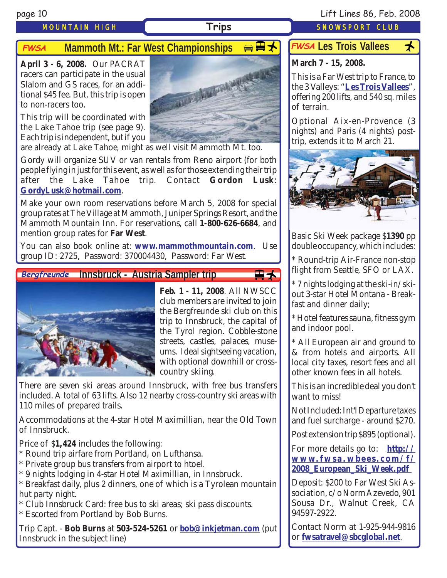## **FWSA Mammoth Mt.: Far West Championships <del> 【</del>大**

**April 3 - 6, 2008.** Our PACRAT racers can participate in the usual Slalom and GS races, for an additional \$45 fee. But, this trip is open to non-racers too.

This trip will be coordinated with the Lake Tahoe trip (see page 9). Each trip is independent, but if you



are already at Lake Tahoe, might as well visit Mammoth Mt. too.

Gordy will organize SUV or van rentals from Reno airport (for both people flying in just for this event, as well as for those extending their trip after the Lake Tahoe trip. Contact **Gordon Lusk**: **[GordyLusk@hotmail.com](mailto:gordylusk@hotmail.com)**.

Make your own room reservations before March 5, 2008 for special group rates at The Village at Mammoth, Juniper Springs Resort, and the Mammoth Mountain Inn. For reservations, call **1-800-626-6684**, and mention group rates for **Far West**.

You can also book online at: **[www.mammothmountain.com](http://www.mammothmountain.com/)**. Use group ID: 2725, Password: 370004430, Password: Far West.

**Innsbruck - Austria Sampler trip Bergfreunde**



**Feb. 1 - 11, 2008**. All NWSCC club members are invited to join the Bergfreunde ski club on this trip to Innsbruck, the capital of the Tyrol region. Cobble-stone streets, castles, palaces, museums. Ideal sightseeing vacation, with optional downhill or crosscountry skiing.

田大

There are seven ski areas around Innsbruck, with free bus transfers included. A total of 63 lifts. Also 12 nearby cross-country ski areas with 110 miles of prepared trails.

Accommodations at the 4-star Hotel Maximillian, near the Old Town of Innsbruck.

Price of \$**1,424** includes the following:

- \* Round trip airfare from Portland, on Lufthansa.
- \* Private group bus transfers from airport to htoel.
- \* 9 nights lodging in 4-star Hotel Maximillian, in Innsbruck.
- \* Breakfast daily, plus 2 dinners, one of which is a Tyrolean mountain hut party night.
- \* Club Innsbruck Card: free bus to ski areas; ski pass discounts.
- \* Escorted from Portland by Bob Burns.

Trip Capt. - **Bob Burns** at **503-524-5261** or **[bob@inkjetman.com](mailto:bob@inkjetman.com)** (put Innsbruck in the subject line)

### page 10 Lift Lines 86, Feb. 2008

MOUNTAIN HIGH **Trips SNOWSPORT CLUB** 

## FWSA Les Trois Vallees <del>人</del>

### **March 7 - 15, 2008.**

This is a Far West trip to France, to the 3 Valleys: "**[Les Trois Vallees](http://www.mthigh.org/Trips.htm#Les_Trois_Vallees)**", offering 200 lifts, and 540 sq. miles of terrain.

Optional Aix-en-Provence (3 nights) and Paris (4 nights) posttrip, extends it to March 21.



Basic Ski Week package \$**1390** pp double occupancy, which includes:

\* Round-trip Air-France non-stop flight from Seattle, SFO or LAX.

\* 7 nights lodging at the ski-in/skiout 3-star Hotel Montana - Breakfast and dinner daily;

\* Hotel features sauna, fitness gym and indoor pool.

\* All European air and ground to & from hotels and airports. All local city taxes, resort fees and all other known fees in all hotels.

This is an incredible deal you don't want to miss!

Not Included: Int'l Departure taxes and fuel surcharge - around \$270.

Post extension trip \$895 (optional).

For more details go to: **[http://](http://www.fwsa.wbees.com/f/2008_European_Ski_Week.pdf ) [www.fwsa.wbees.com/f/](http://www.fwsa.wbees.com/f/2008_European_Ski_Week.pdf ) [2008\\_European\\_Ski\\_Week.pdf](http://www.fwsa.wbees.com/f/2008_European_Ski_Week.pdf )**

Deposit: \$200 to Far West Ski Association, c/o Norm Azevedo, 901 Sousa Dr., Walnut Creek, CA 94597-2922.

Contact Norm at 1-925-944-9816 or **[fwsatravel@sbcglobal.net](mailto:fwsatravel@sbcglobal.net)**.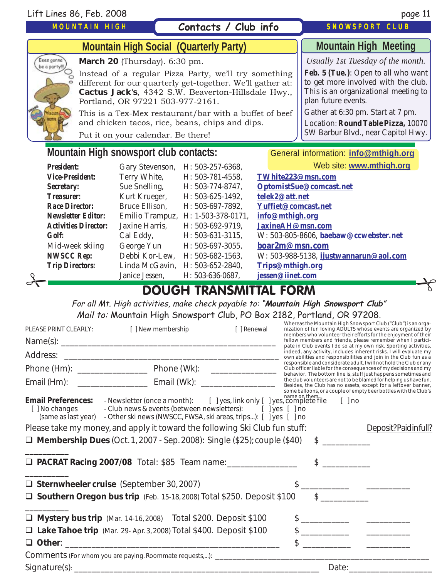## **Contacts / Club info**

#### SNOWSPORT CLUB



**Mountain High Meeting**

*Usually 1st Tuesday of the month.*

**Feb. 5 (Tue.)**: Open to all who want to get more involved with the club. This is an organizational meeting to plan future events.

Gather at 6:30 pm. Start at 7 pm.

Location: **Round Table Pizza,** 10070 SW Barbur Blvd., near Capitol Hwy.

Eees gonno be a party!!! **March 20** (Thursday). 6:30 pm.

 **Mountain High Social (Quarterly Party)**

Instead of a regular Pizza Party, we'll try something different for our quarterly get-together. We'll gather at: **Cactus Jack's**, 4342 S.W. Beaverton-Hillsdale Hwy., Portland, OR 97221 503-977-2161.

This is a Tex-Mex restaurant/bar with a buffet of beef and chicken tacos, rice, beans, chips and dips.

Put it on your calendar. Be there!

### **Mountain High snowsport club contacts:** General information: *inf[o@mthigh.org](mailto:info@MtHigh.org)*

|                               | <b>President:</b>             | Gary Stevenson, | H: 503-257-6368,                   |  | Web site: www.mthigh.org               |  |
|-------------------------------|-------------------------------|-----------------|------------------------------------|--|----------------------------------------|--|
|                               | <i><b>Vice-President:</b></i> | Terry White,    | H: 503-781-4558.                   |  | TWhite223@msn.com                      |  |
|                               | <b>Secretary:</b>             | Sue Snelling,   | H: 503-774-8747,                   |  | OptomistSue@comcast.net                |  |
|                               | <b>Treasurer:</b>             | Kurt Krueger,   | H: 503-625-1492.                   |  | telek2@att.net                         |  |
|                               | <b>Race Director:</b>         | Bruce Ellison,  | H: 503-697-7892.                   |  | Yuffiet@comcast.net                    |  |
|                               | <b>Newsletter Editor:</b>     |                 | Emilio Trampuz, H: 1-503-378-0171, |  | info@mthigh.org                        |  |
|                               | <b>Activities Director:</b>   | Jaxine Harris,  | H: 503-692-9719,                   |  | JaxineAH@msn.com                       |  |
|                               | <b>Golf:</b>                  | Cal Eddy,       | H: 503-631-3115,                   |  | W: 503-805-8606, baebaw@ccwebster.net  |  |
|                               | Mid-week skiing               | George Yun      | H: 503-697-3055.                   |  | boar2m@msn.com                         |  |
|                               | <b>NWSCC Rep:</b>             |                 | Debbi Kor-Lew, H: 503-682-1563,    |  | W: 503-988-5138, ijustwannarun@aol.com |  |
|                               | <b>Trip Directors:</b>        |                 | Linda McGavin, H: 503-652-2840,    |  | Trips@mthigh.org                       |  |
|                               |                               | Janice Jessen.  | H: 503-636-0687.                   |  | jessen@iinet.com                       |  |
| <b>DOUGH TRANSMITTAL FORM</b> |                               |                 |                                    |  |                                        |  |

For all Mt. High activities, make check payable to: "**Mountain High Snowsport Club**" Mail to: Mountain High Snowsport Club, PO Box 2182, Portland, OR 97208.

| PLEASE PRINT CLEARLY:                       | [ ] New membership                                                                                                                                                                                                           | [ ] Renewal |                         |               | Whereas the Mountain High Snowsport Club ("Club") is an orga-<br>nization of fun loving ADULTS whose events are organized by<br>members who volunteer their efforts for the enjoyment of their                                                                                                                      |
|---------------------------------------------|------------------------------------------------------------------------------------------------------------------------------------------------------------------------------------------------------------------------------|-------------|-------------------------|---------------|---------------------------------------------------------------------------------------------------------------------------------------------------------------------------------------------------------------------------------------------------------------------------------------------------------------------|
|                                             |                                                                                                                                                                                                                              |             |                         |               | fellow members and friends, please remember when I partici-<br>pate in Club events I do so at my own risk. Sporting activities,                                                                                                                                                                                     |
| Address:                                    |                                                                                                                                                                                                                              |             |                         |               | indeed, any activity, includes inherent risks. I will evaluate my<br>own abilities and responsibilities and join in the Club fun as a                                                                                                                                                                               |
|                                             |                                                                                                                                                                                                                              |             |                         |               | responsible and considerate adult. I will not hold the Club or any<br>Club officer liable for the consequences of my decisions and my<br>behavior. The bottom line is, stuff just happens sometimes and                                                                                                             |
|                                             |                                                                                                                                                                                                                              |             |                         |               | the club volunteers are not to be blamed for helping us have fun.<br>Besides, the Club has no assets, except for a leftover banner,<br>some balloons, or a couple of empty beer bottles with the Club's                                                                                                             |
| <b>Email Preferences:</b><br>[ ] No changes | - Newsletter (once a month): [ ] yes, link only [ ] yes, complete file<br>- Club news & events (between newsletters): [ ] yes [ ] no<br>(same as last year) - Other ski news (NWSCC, FWSA, ski areas, trips): [ ] yes [ ] no |             |                         | $[ ]$ no      |                                                                                                                                                                                                                                                                                                                     |
|                                             | Please take my money, and apply it toward the following Ski Club fun stuff:                                                                                                                                                  |             |                         |               | Deposit?Paidinfull?                                                                                                                                                                                                                                                                                                 |
|                                             | <b><math>\Box</math> Membership Dues</b> (Oct. 1, 2007 - Sep. 2008): Single (\$25); couple (\$40)                                                                                                                            |             |                         |               |                                                                                                                                                                                                                                                                                                                     |
|                                             | <b>D</b> PACRAT Racing 2007/08 Total: \$85 Team name: __________________                                                                                                                                                     |             | $\sqrt[6]{\frac{1}{2}}$ |               |                                                                                                                                                                                                                                                                                                                     |
|                                             | $\Box$ Sternwheeler cruise (September 30, 2007)                                                                                                                                                                              |             |                         |               |                                                                                                                                                                                                                                                                                                                     |
|                                             | □ Southern Oregon bus trip (Feb. 15-18, 2008) Total \$250. Deposit \$100                                                                                                                                                     |             |                         | $\frac{1}{2}$ |                                                                                                                                                                                                                                                                                                                     |
|                                             | Mystery bus trip (Mar. 14-16, 2008) Total \$200. Deposit \$100                                                                                                                                                               |             |                         | $\frac{1}{2}$ |                                                                                                                                                                                                                                                                                                                     |
|                                             | Lake Tahoe trip (Mar. 29- Apr. 3, 2008) Total \$400. Deposit \$100                                                                                                                                                           |             |                         |               | $\frac{1}{2}$ $\frac{1}{2}$ $\frac{1}{2}$ $\frac{1}{2}$ $\frac{1}{2}$ $\frac{1}{2}$ $\frac{1}{2}$ $\frac{1}{2}$ $\frac{1}{2}$ $\frac{1}{2}$ $\frac{1}{2}$ $\frac{1}{2}$ $\frac{1}{2}$ $\frac{1}{2}$ $\frac{1}{2}$ $\frac{1}{2}$ $\frac{1}{2}$ $\frac{1}{2}$ $\frac{1}{2}$ $\frac{1}{2}$ $\frac{1}{2}$ $\frac{1}{2}$ |
|                                             |                                                                                                                                                                                                                              |             |                         |               |                                                                                                                                                                                                                                                                                                                     |
|                                             |                                                                                                                                                                                                                              |             |                         |               |                                                                                                                                                                                                                                                                                                                     |
|                                             |                                                                                                                                                                                                                              |             |                         | Date:         |                                                                                                                                                                                                                                                                                                                     |